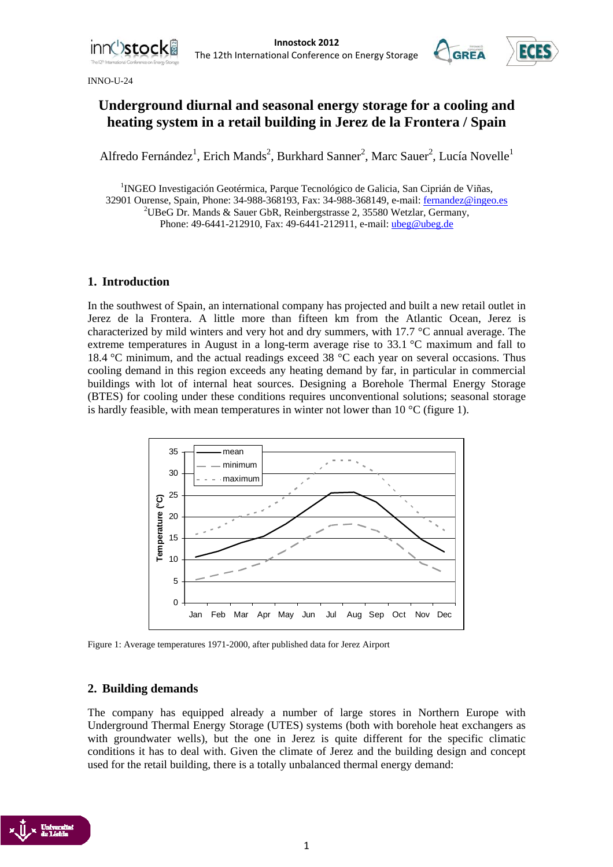





# **Underground diurnal and seasonal energy storage for a cooling and heating system in a retail building in Jerez de la Frontera / Spain**

Alfredo Fernández<sup>1</sup>, Erich Mands<sup>2</sup>, Burkhard Sanner<sup>2</sup>, Marc Sauer<sup>2</sup>, Lucía Novelle<sup>1</sup>

<sup>1</sup>INGEO Investigación Geotérmica, Parque Tecnológico de Galicia, San Ciprián de Viñas, 32901 Ourense, Spain, Phone: 34-988-368193, Fax: 34-988-368149, e-mail: fernandez@ingeo.es <sup>2</sup> <sup>2</sup>UBeG Dr. Mands & Sauer GbR, Reinbergstrasse 2, 35580 Wetzlar, Germany, Phone: 49-6441-212910, Fax: 49-6441-212911, e-mail: ubeg@ubeg.de

# **1. Introduction**

In the southwest of Spain, an international company has projected and built a new retail outlet in Jerez de la Frontera. A little more than fifteen km from the Atlantic Ocean, Jerez is characterized by mild winters and very hot and dry summers, with 17.7 °C annual average. The extreme temperatures in August in a long-term average rise to 33.1 °C maximum and fall to 18.4 °C minimum, and the actual readings exceed 38 °C each year on several occasions. Thus cooling demand in this region exceeds any heating demand by far, in particular in commercial buildings with lot of internal heat sources. Designing a Borehole Thermal Energy Storage (BTES) for cooling under these conditions requires unconventional solutions; seasonal storage is hardly feasible, with mean temperatures in winter not lower than  $10^{\circ}$ C (figure 1).



Figure 1: Average temperatures 1971-2000, after published data for Jerez Airport

## **2. Building demands**

The company has equipped already a number of large stores in Northern Europe with Underground Thermal Energy Storage (UTES) systems (both with borehole heat exchangers as with groundwater wells), but the one in Jerez is quite different for the specific climatic conditions it has to deal with. Given the climate of Jerez and the building design and concept used for the retail building, there is a totally unbalanced thermal energy demand:

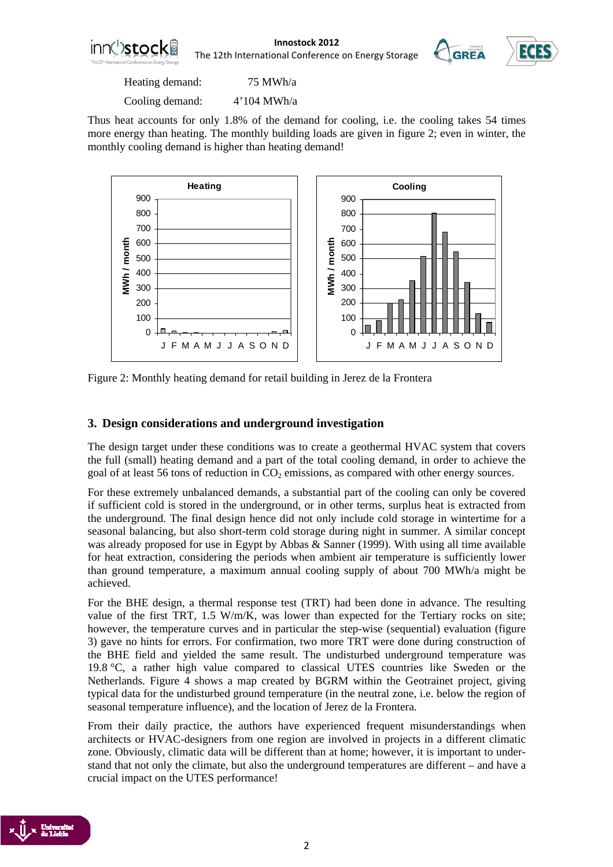

**Innostock 2012**<br> **COLO**<br> **Industrial Conference on Energy Storage COREA** The 12th International Conference on Energy Storage





Heating demand: 75 MWh/a

Cooling demand: 4'104 MWh/a

Thus heat accounts for only 1.8% of the demand for cooling, i.e. the cooling takes 54 times more energy than heating. The monthly building loads are given in figure 2; even in winter, the monthly cooling demand is higher than heating demand!



Figure 2: Monthly heating demand for retail building in Jerez de la Frontera

# **3. Design considerations and underground investigation**

The design target under these conditions was to create a geothermal HVAC system that covers the full (small) heating demand and a part of the total cooling demand, in order to achieve the goal of at least 56 tons of reduction in  $CO<sub>2</sub>$  emissions, as compared with other energy sources.

For these extremely unbalanced demands, a substantial part of the cooling can only be covered if sufficient cold is stored in the underground, or in other terms, surplus heat is extracted from the underground. The final design hence did not only include cold storage in wintertime for a seasonal balancing, but also short-term cold storage during night in summer. A similar concept was already proposed for use in Egypt by Abbas & Sanner (1999). With using all time available for heat extraction, considering the periods when ambient air temperature is sufficiently lower than ground temperature, a maximum annual cooling supply of about 700 MWh/a might be achieved.

For the BHE design, a thermal response test (TRT) had been done in advance. The resulting value of the first TRT, 1.5 W/m/K, was lower than expected for the Tertiary rocks on site; however, the temperature curves and in particular the step-wise (sequential) evaluation (figure 3) gave no hints for errors. For confirmation, two more TRT were done during construction of the BHE field and yielded the same result. The undisturbed underground temperature was 19.8 °C, a rather high value compared to classical UTES countries like Sweden or the Netherlands. Figure 4 shows a map created by BGRM within the Geotrainet project, giving typical data for the undisturbed ground temperature (in the neutral zone, i.e. below the region of seasonal temperature influence), and the location of Jerez de la Frontera.

From their daily practice, the authors have experienced frequent misunderstandings when architects or HVAC-designers from one region are involved in projects in a different climatic zone. Obviously, climatic data will be different than at home; however, it is important to understand that not only the climate, but also the underground temperatures are different – and have a crucial impact on the UTES performance!

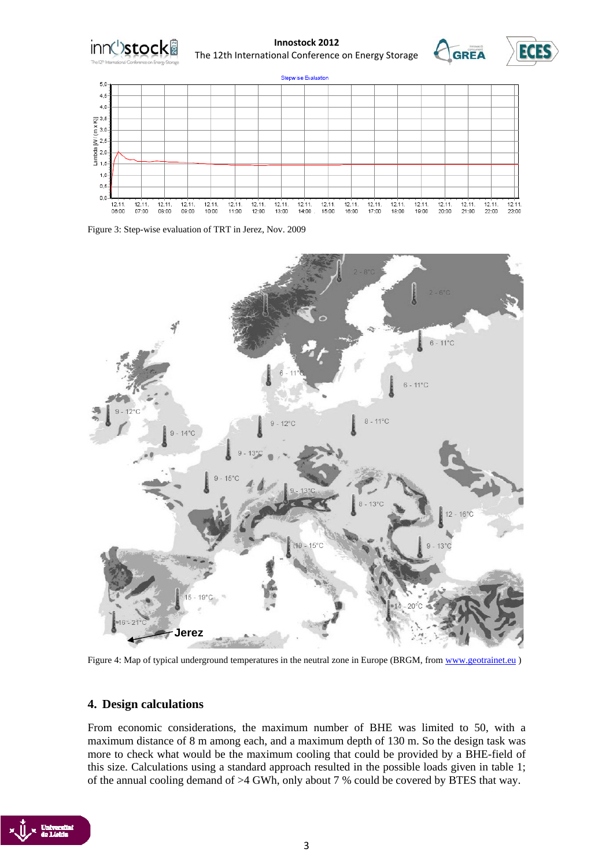

**Innostock 2012**<br> **COLO**<br> **INSPECTED ECES** The 12th International Conference on Energy Storage





Figure 3: Step-wise evaluation of TRT in Jerez, Nov. 2009



Figure 4: Map of typical underground temperatures in the neutral zone in Europe (BRGM, from www.geotrainet.eu)

## **4. Design calculations**

From economic considerations, the maximum number of BHE was limited to 50, with a maximum distance of 8 m among each, and a maximum depth of 130 m. So the design task was more to check what would be the maximum cooling that could be provided by a BHE-field of this size. Calculations using a standard approach resulted in the possible loads given in table 1; of the annual cooling demand of >4 GWh, only about 7 % could be covered by BTES that way.

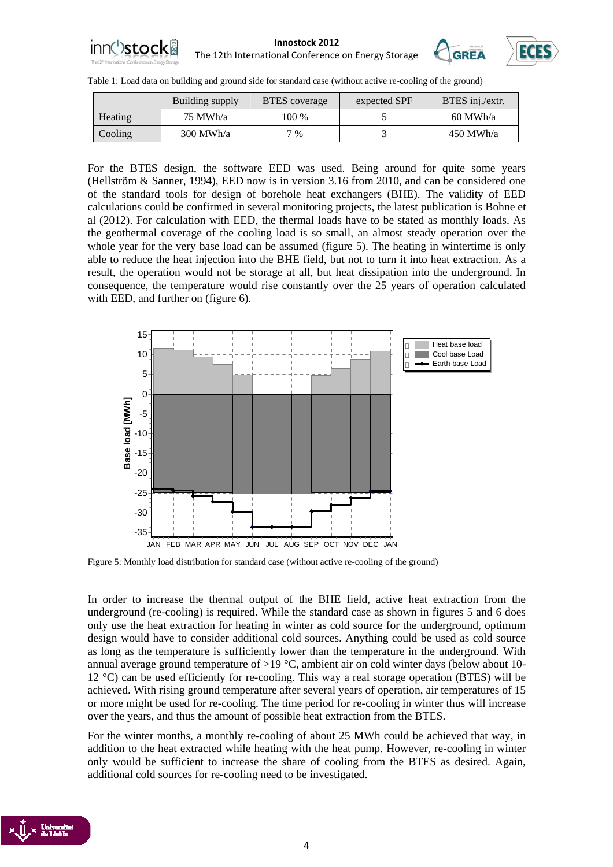





|                | Building supply | <b>BTES</b> coverage | expected SPF | BTES inj./extr. |
|----------------|-----------------|----------------------|--------------|-----------------|
| <b>Heating</b> | 75 MWh/a        | 100 %                |              | $60$ MWh/a      |
| Cooling        | $300$ MWh/a     | 7 %                  |              | $450$ MWh/a     |

For the BTES design, the software EED was used. Being around for quite some years (Hellström & Sanner, 1994), EED now is in version 3.16 from 2010, and can be considered one of the standard tools for design of borehole heat exchangers (BHE). The validity of EED calculations could be confirmed in several monitoring projects, the latest publication is Bohne et al (2012). For calculation with EED, the thermal loads have to be stated as monthly loads. As the geothermal coverage of the cooling load is so small, an almost steady operation over the whole year for the very base load can be assumed (figure 5). The heating in wintertime is only able to reduce the heat injection into the BHE field, but not to turn it into heat extraction. As a result, the operation would not be storage at all, but heat dissipation into the underground. In consequence, the temperature would rise constantly over the 25 years of operation calculated with EED, and further on (figure 6).



Figure 5: Monthly load distribution for standard case (without active re-cooling of the ground)

In order to increase the thermal output of the BHE field, active heat extraction from the underground (re-cooling) is required. While the standard case as shown in figures 5 and 6 does only use the heat extraction for heating in winter as cold source for the underground, optimum design would have to consider additional cold sources. Anything could be used as cold source as long as the temperature is sufficiently lower than the temperature in the underground. With annual average ground temperature of  $>19$  °C, ambient air on cold winter days (below about 10-12 °C) can be used efficiently for re-cooling. This way a real storage operation (BTES) will be achieved. With rising ground temperature after several years of operation, air temperatures of 15 or more might be used for re-cooling. The time period for re-cooling in winter thus will increase over the years, and thus the amount of possible heat extraction from the BTES.

For the winter months, a monthly re-cooling of about 25 MWh could be achieved that way, in addition to the heat extracted while heating with the heat pump. However, re-cooling in winter only would be sufficient to increase the share of cooling from the BTES as desired. Again, additional cold sources for re-cooling need to be investigated.

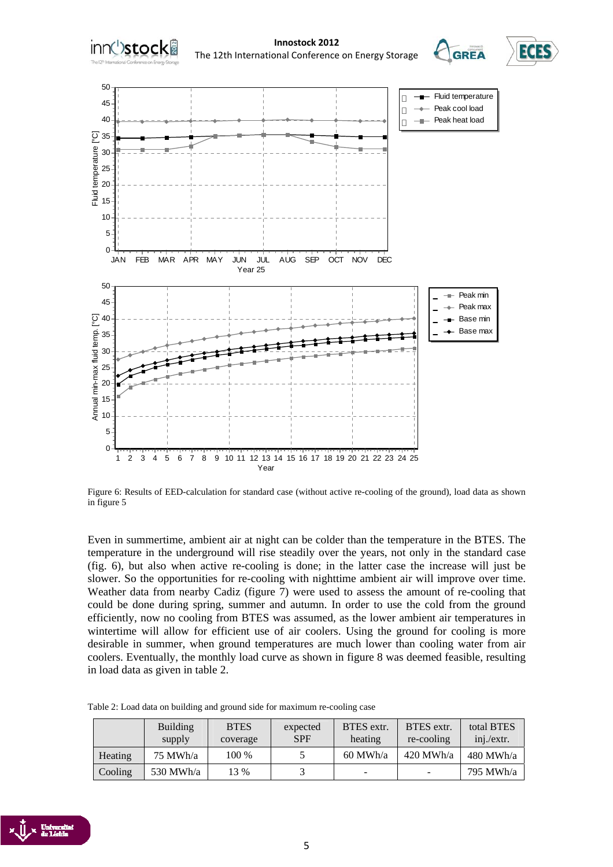

Figure 6: Results of EED-calculation for standard case (without active re-cooling of the ground), load data as shown in figure 5

Even in summertime, ambient air at night can be colder than the temperature in the BTES. The temperature in the underground will rise steadily over the years, not only in the standard case (fig. 6), but also when active re-cooling is done; in the latter case the increase will just be slower. So the opportunities for re-cooling with nighttime ambient air will improve over time. Weather data from nearby Cadiz (figure 7) were used to assess the amount of re-cooling that could be done during spring, summer and autumn. In order to use the cold from the ground efficiently, now no cooling from BTES was assumed, as the lower ambient air temperatures in wintertime will allow for efficient use of air coolers. Using the ground for cooling is more desirable in summer, when ground temperatures are much lower than cooling water from air coolers. Eventually, the monthly load curve as shown in figure 8 was deemed feasible, resulting in load data as given in table 2.

|         | <b>Building</b><br>supply | <b>BTES</b><br>coverage | expected<br><b>SPF</b> | BTES extr.<br>heating | BTES extr.<br>re-cooling | total BTES<br>inj./extr. |
|---------|---------------------------|-------------------------|------------------------|-----------------------|--------------------------|--------------------------|
| Heating | $75$ MWh/a                | 100 %                   |                        | $60$ MWh/a            | $420$ MWh/a              | $480$ MWh/a              |
| Cooling | 530 MWh/a                 | 3 %                     |                        | -                     | $\overline{\phantom{0}}$ | 795 MWh/a                |

Table 2: Load data on building and ground side for maximum re-cooling case

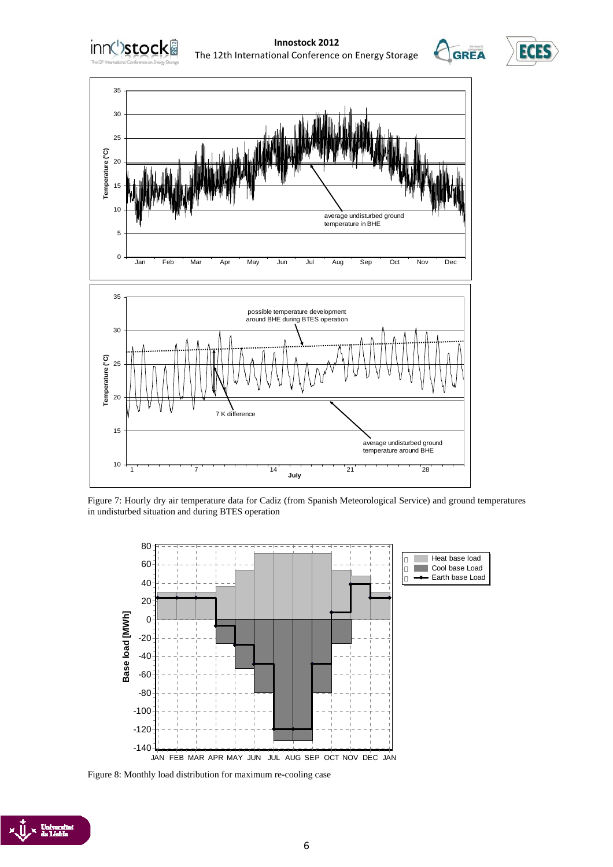







Figure 7: Hourly dry air temperature data for Cadiz (from Spanish Meteorological Service) and ground temperatures in undisturbed situation and during BTES operation



Figure 8: Monthly load distribution for maximum re-cooling case

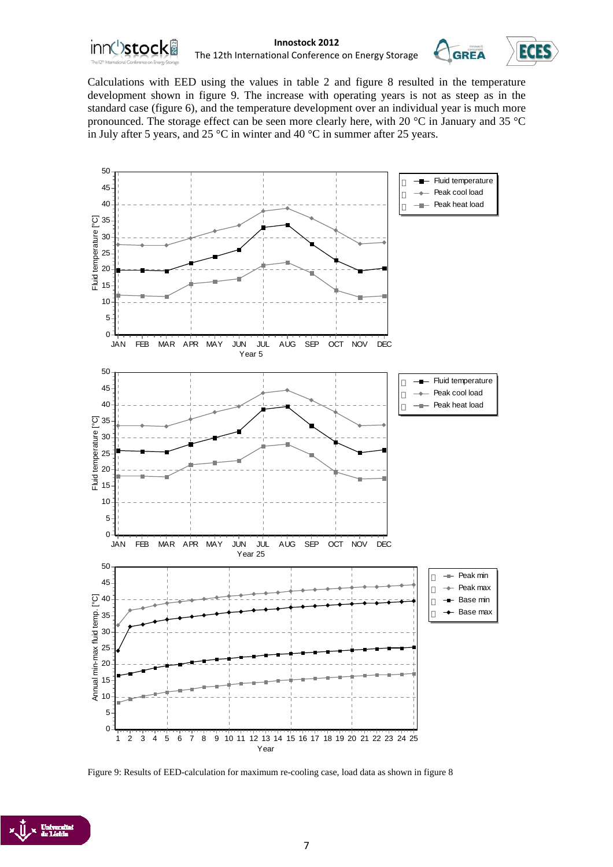



Calculations with EED using the values in table 2 and figure 8 resulted in the temperature development shown in figure 9. The increase with operating years is not as steep as in the standard case (figure 6), and the temperature development over an individual year is much more pronounced. The storage effect can be seen more clearly here, with 20 °C in January and 35 °C in July after 5 years, and 25 °C in winter and 40 °C in summer after 25 years.



Figure 9: Results of EED-calculation for maximum re-cooling case, load data as shown in figure 8